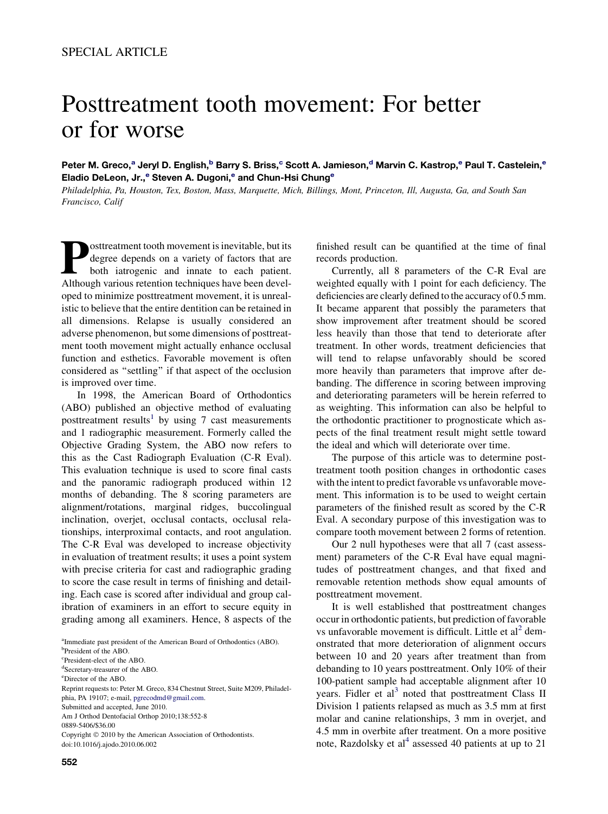# Posttreatment tooth movement: For better or for worse

Peter M. Greco,<sup>a</sup> Jeryl D. English,<sup>b</sup> Barry S. Briss,<sup>c</sup> Scott A. Jamieson,<sup>d</sup> Marvin C. Kastrop,<sup>e</sup> Paul T. Castelein,<sup>e</sup> Eladio DeLeon, Jr.,<sup>e</sup> Steven A. Dugoni,<sup>e</sup> and Chun-Hsi Chung<sup>e</sup>

Philadelphia, Pa, Houston, Tex, Boston, Mass, Marquette, Mich, Billings, Mont, Princeton, Ill, Augusta, Ga, and South San Francisco, Calif

osttreatment tooth movement is inevitable, but its degree depends on a variety of factors that are both iatrogenic and innate to each patient. Although various retention techniques have been developed to minimize posttreatment movement, it is unrealistic to believe that the entire dentition can be retained in all dimensions. Relapse is usually considered an adverse phenomenon, but some dimensions of posttreatment tooth movement might actually enhance occlusal function and esthetics. Favorable movement is often considered as ''settling'' if that aspect of the occlusion is improved over time.

In 1998, the American Board of Orthodontics (ABO) published an objective method of evaluating posttreatment results<sup>[1](#page-6-0)</sup> by using 7 cast measurements and 1 radiographic measurement. Formerly called the Objective Grading System, the ABO now refers to this as the Cast Radiograph Evaluation (C-R Eval). This evaluation technique is used to score final casts and the panoramic radiograph produced within 12 months of debanding. The 8 scoring parameters are alignment/rotations, marginal ridges, buccolingual inclination, overjet, occlusal contacts, occlusal relationships, interproximal contacts, and root angulation. The C-R Eval was developed to increase objectivity in evaluation of treatment results; it uses a point system with precise criteria for cast and radiographic grading to score the case result in terms of finishing and detailing. Each case is scored after individual and group calibration of examiners in an effort to secure equity in grading among all examiners. Hence, 8 aspects of the

<sup>a</sup>Immediate past president of the American Board of Orthodontics (ABO).

c President-elect of the ABO.

Copyright © 2010 by the American Association of Orthodontists. doi:10.1016/j.ajodo.2010.06.002

finished result can be quantified at the time of final records production.

Currently, all 8 parameters of the C-R Eval are weighted equally with 1 point for each deficiency. The deficiencies are clearly defined to the accuracy of 0.5 mm. It became apparent that possibly the parameters that show improvement after treatment should be scored less heavily than those that tend to deteriorate after treatment. In other words, treatment deficiencies that will tend to relapse unfavorably should be scored more heavily than parameters that improve after debanding. The difference in scoring between improving and deteriorating parameters will be herein referred to as weighting. This information can also be helpful to the orthodontic practitioner to prognosticate which aspects of the final treatment result might settle toward the ideal and which will deteriorate over time.

The purpose of this article was to determine posttreatment tooth position changes in orthodontic cases with the intent to predict favorable vs unfavorable movement. This information is to be used to weight certain parameters of the finished result as scored by the C-R Eval. A secondary purpose of this investigation was to compare tooth movement between 2 forms of retention.

Our 2 null hypotheses were that all 7 (cast assessment) parameters of the C-R Eval have equal magnitudes of posttreatment changes, and that fixed and removable retention methods show equal amounts of posttreatment movement.

It is well established that posttreatment changes occur in orthodontic patients, but prediction of favorable vs unfavorable movement is difficult. Little et  $al^2$  $al^2$  demonstrated that more deterioration of alignment occurs between 10 and 20 years after treatment than from debanding to 10 years posttreatment. Only 10% of their 100-patient sample had acceptable alignment after 10 years. Fidler et  $al<sup>3</sup>$  $al<sup>3</sup>$  $al<sup>3</sup>$  noted that posttreatment Class II Division 1 patients relapsed as much as 3.5 mm at first molar and canine relationships, 3 mm in overjet, and 4.5 mm in overbite after treatment. On a more positive note, Razdolsky et al<sup>[4](#page-6-0)</sup> assessed 40 patients at up to 21

b President of the ABO.

d Secretary-treasurer of the ABO.

e Director of the ABO.

Reprint requests to: Peter M. Greco, 834 Chestnut Street, Suite M209, Philadelphia, PA 19107; e-mail, [pgrecodmd@gmail.com](mailto:pgrecodmd@gmail.com). Submitted and accepted, June 2010. Am J Orthod Dentofacial Orthop 2010;138:552-8 0889-5406/\$36.00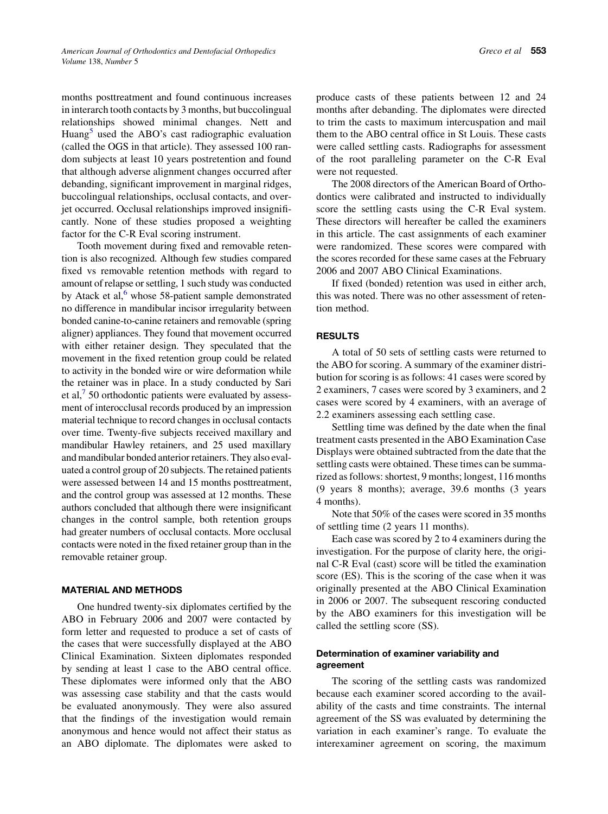months posttreatment and found continuous increases in interarch tooth contacts by 3 months, but buccolingual relationships showed minimal changes. Nett and Huang $<sup>5</sup>$  $<sup>5</sup>$  $<sup>5</sup>$  used the ABO's cast radiographic evaluation</sup> (called the OGS in that article). They assessed 100 random subjects at least 10 years postretention and found that although adverse alignment changes occurred after debanding, significant improvement in marginal ridges, buccolingual relationships, occlusal contacts, and overjet occurred. Occlusal relationships improved insignificantly. None of these studies proposed a weighting factor for the C-R Eval scoring instrument.

Tooth movement during fixed and removable retention is also recognized. Although few studies compared fixed vs removable retention methods with regard to amount of relapse or settling, 1 such study was conducted by Atack et al, $<sup>6</sup>$  $<sup>6</sup>$  $<sup>6</sup>$  whose 58-patient sample demonstrated</sup> no difference in mandibular incisor irregularity between bonded canine-to-canine retainers and removable (spring aligner) appliances. They found that movement occurred with either retainer design. They speculated that the movement in the fixed retention group could be related to activity in the bonded wire or wire deformation while the retainer was in place. In a study conducted by Sari et al, $\frac{7}{2}$  $\frac{7}{2}$  $\frac{7}{2}$  50 orthodontic patients were evaluated by assessment of interocclusal records produced by an impression material technique to record changes in occlusal contacts over time. Twenty-five subjects received maxillary and mandibular Hawley retainers, and 25 used maxillary and mandibular bonded anterior retainers. They also evaluated a control group of 20 subjects. The retained patients were assessed between 14 and 15 months posttreatment, and the control group was assessed at 12 months. These authors concluded that although there were insignificant changes in the control sample, both retention groups had greater numbers of occlusal contacts. More occlusal contacts were noted in the fixed retainer group than in the removable retainer group.

#### MATERIAL AND METHODS

One hundred twenty-six diplomates certified by the ABO in February 2006 and 2007 were contacted by form letter and requested to produce a set of casts of the cases that were successfully displayed at the ABO Clinical Examination. Sixteen diplomates responded by sending at least 1 case to the ABO central office. These diplomates were informed only that the ABO was assessing case stability and that the casts would be evaluated anonymously. They were also assured that the findings of the investigation would remain anonymous and hence would not affect their status as an ABO diplomate. The diplomates were asked to produce casts of these patients between 12 and 24 months after debanding. The diplomates were directed to trim the casts to maximum intercuspation and mail them to the ABO central office in St Louis. These casts were called settling casts. Radiographs for assessment of the root paralleling parameter on the C-R Eval were not requested.

The 2008 directors of the American Board of Orthodontics were calibrated and instructed to individually score the settling casts using the C-R Eval system. These directors will hereafter be called the examiners in this article. The cast assignments of each examiner were randomized. These scores were compared with the scores recorded for these same cases at the February 2006 and 2007 ABO Clinical Examinations.

If fixed (bonded) retention was used in either arch, this was noted. There was no other assessment of retention method.

#### RESULTS

A total of 50 sets of settling casts were returned to the ABO for scoring. A summary of the examiner distribution for scoring is as follows: 41 cases were scored by 2 examiners, 7 cases were scored by 3 examiners, and 2 cases were scored by 4 examiners, with an average of 2.2 examiners assessing each settling case.

Settling time was defined by the date when the final treatment casts presented in the ABO Examination Case Displays were obtained subtracted from the date that the settling casts were obtained. These times can be summarized as follows: shortest, 9 months; longest, 116 months (9 years 8 months); average, 39.6 months (3 years 4 months).

Note that 50% of the cases were scored in 35 months of settling time (2 years 11 months).

Each case was scored by 2 to 4 examiners during the investigation. For the purpose of clarity here, the original C-R Eval (cast) score will be titled the examination score (ES). This is the scoring of the case when it was originally presented at the ABO Clinical Examination in 2006 or 2007. The subsequent rescoring conducted by the ABO examiners for this investigation will be called the settling score (SS).

## Determination of examiner variability and agreement

The scoring of the settling casts was randomized because each examiner scored according to the availability of the casts and time constraints. The internal agreement of the SS was evaluated by determining the variation in each examiner's range. To evaluate the interexaminer agreement on scoring, the maximum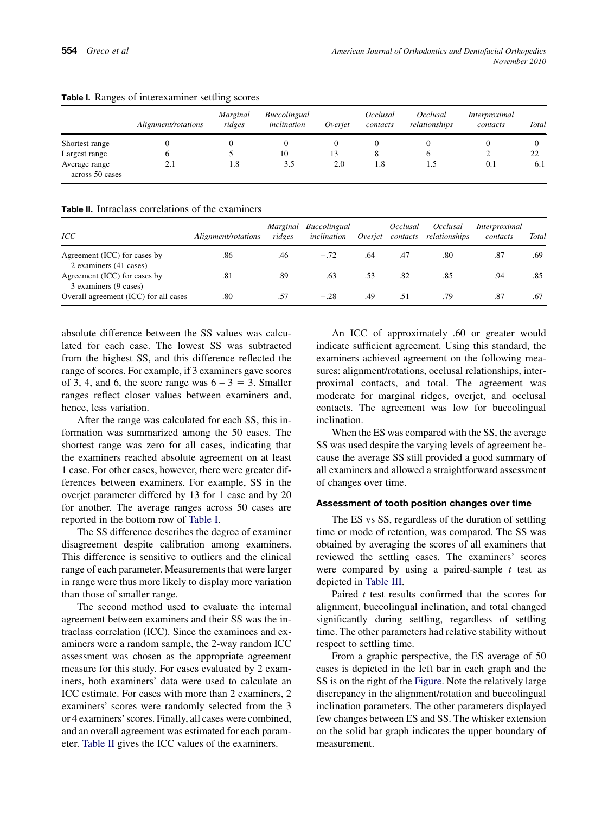|                                  | Alignment/rotations | Marginal<br>ridges | <i>Buccolingual</i><br>inclination | Overiet | Occlusal<br>contacts | Occlusal<br>relationships | Interproximal<br>contacts | Total |
|----------------------------------|---------------------|--------------------|------------------------------------|---------|----------------------|---------------------------|---------------------------|-------|
| Shortest range                   |                     |                    |                                    |         |                      |                           |                           |       |
| Largest range                    |                     |                    | 10                                 | 13      |                      |                           |                           | 22    |
| Average range<br>across 50 cases | 2.1                 | 1.8                | 3.5                                | 2.0     | 1.8                  |                           | 0.1                       | 6.1   |

# Table I. Ranges of interexaminer settling scores

Table II. Intraclass correlations of the examiners

| ICC                                                    | Alignment/rotations | <i>Marginal</i><br>ridges | Buccolingual<br>inclination | Overiet | Occlusal<br>contacts | Occlusal<br>relationships | Interproximal<br>contacts | Total |
|--------------------------------------------------------|---------------------|---------------------------|-----------------------------|---------|----------------------|---------------------------|---------------------------|-------|
| Agreement (ICC) for cases by<br>2 examiners (41 cases) | .86                 | .46                       | $-.72$                      | .64     | .47                  | .80                       | .87                       | .69   |
| Agreement (ICC) for cases by<br>3 examiners (9 cases)  | .81                 | .89                       | .63                         | .53     | .82                  | .85                       | .94                       | .85   |
| Overall agreement (ICC) for all cases                  | .80                 | .57                       | $-.28$                      | .49     | .51                  | .79                       | .87                       | .67   |

absolute difference between the SS values was calculated for each case. The lowest SS was subtracted from the highest SS, and this difference reflected the range of scores. For example, if 3 examiners gave scores of 3, 4, and 6, the score range was  $6 - 3 = 3$ . Smaller ranges reflect closer values between examiners and, hence, less variation.

After the range was calculated for each SS, this information was summarized among the 50 cases. The shortest range was zero for all cases, indicating that the examiners reached absolute agreement on at least 1 case. For other cases, however, there were greater differences between examiners. For example, SS in the overjet parameter differed by 13 for 1 case and by 20 for another. The average ranges across 50 cases are reported in the bottom row of Table I.

The SS difference describes the degree of examiner disagreement despite calibration among examiners. This difference is sensitive to outliers and the clinical range of each parameter. Measurements that were larger in range were thus more likely to display more variation than those of smaller range.

The second method used to evaluate the internal agreement between examiners and their SS was the intraclass correlation (ICC). Since the examinees and examiners were a random sample, the 2-way random ICC assessment was chosen as the appropriate agreement measure for this study. For cases evaluated by 2 examiners, both examiners' data were used to calculate an ICC estimate. For cases with more than 2 examiners, 2 examiners' scores were randomly selected from the 3 or 4 examiners'scores. Finally, all cases were combined, and an overall agreement was estimated for each parameter. Table II gives the ICC values of the examiners.

An ICC of approximately .60 or greater would indicate sufficient agreement. Using this standard, the examiners achieved agreement on the following measures: alignment/rotations, occlusal relationships, interproximal contacts, and total. The agreement was moderate for marginal ridges, overjet, and occlusal contacts. The agreement was low for buccolingual inclination.

When the ES was compared with the SS, the average SS was used despite the varying levels of agreement because the average SS still provided a good summary of all examiners and allowed a straightforward assessment of changes over time.

#### Assessment of tooth position changes over time

The ES vs SS, regardless of the duration of settling time or mode of retention, was compared. The SS was obtained by averaging the scores of all examiners that reviewed the settling cases. The examiners' scores were compared by using a paired-sample  $t$  test as depicted in [Table III.](#page-3-0)

Paired  $t$  test results confirmed that the scores for alignment, buccolingual inclination, and total changed significantly during settling, regardless of settling time. The other parameters had relative stability without respect to settling time.

From a graphic perspective, the ES average of 50 cases is depicted in the left bar in each graph and the SS is on the right of the [Figure](#page-4-0). Note the relatively large discrepancy in the alignment/rotation and buccolingual inclination parameters. The other parameters displayed few changes between ES and SS. The whisker extension on the solid bar graph indicates the upper boundary of measurement.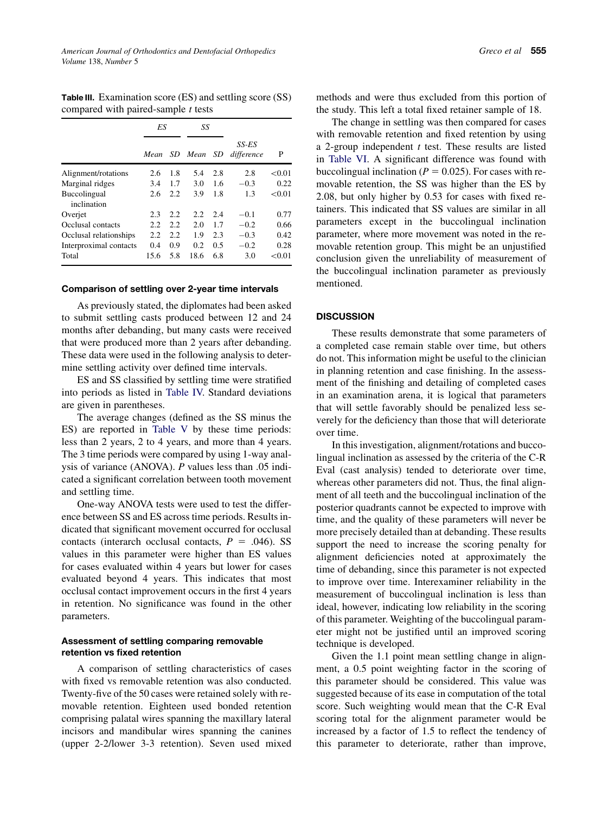<span id="page-3-0"></span>Table III. Examination score (ES) and settling score (SS) compared with paired-sample  $t$  tests

|                             | ES   |      | SS      |      |                     |        |
|-----------------------------|------|------|---------|------|---------------------|--------|
|                             | Mean |      | SD Mean | - SD | SS-ES<br>difference | P      |
| Alignment/rotations         | 2.6  | 1.8  | 5.4     | 2.8  | 2.8                 | < 0.01 |
| Marginal ridges             | 3.4  | 1.7  | 3.0     | 1.6  | $-0.3$              | 0.22   |
| Buccolingual<br>inclination | 2.6  | 2.2  | 3.9     | 1.8  | 13                  | < 0.01 |
| Overjet                     | 2.3  | 2.2  | 2.2     | 2.4  | $-0.1$              | 0.77   |
| Occlusal contacts           | 2.2. | 2.2. | 2.0     | 1.7  | $-0.2$              | 0.66   |
| Occlusal relationships      | 2.2  | 2.2  | 1.9     | 2.3  | $-0.3$              | 0.42   |
| Interproximal contacts      | 0.4  | 0.9  | 0.2     | 0.5  | $-0.2$              | 0.28   |
| Total                       | 15.6 | 5.8  | 18.6    | 6.8  | 3.0                 | < 0.01 |

#### Comparison of settling over 2-year time intervals

As previously stated, the diplomates had been asked to submit settling casts produced between 12 and 24 months after debanding, but many casts were received that were produced more than 2 years after debanding. These data were used in the following analysis to determine settling activity over defined time intervals.

ES and SS classified by settling time were stratified into periods as listed in [Table IV.](#page-5-0) Standard deviations are given in parentheses.

The average changes (defined as the SS minus the ES) are reported in [Table V](#page-5-0) by these time periods: less than 2 years, 2 to 4 years, and more than 4 years. The 3 time periods were compared by using 1-way analysis of variance (ANOVA). P values less than .05 indicated a significant correlation between tooth movement and settling time.

One-way ANOVA tests were used to test the difference between SS and ES across time periods. Results indicated that significant movement occurred for occlusal contacts (interarch occlusal contacts,  $P = .046$ ). SS values in this parameter were higher than ES values for cases evaluated within 4 years but lower for cases evaluated beyond 4 years. This indicates that most occlusal contact improvement occurs in the first 4 years in retention. No significance was found in the other parameters.

# Assessment of settling comparing removable retention vs fixed retention

A comparison of settling characteristics of cases with fixed vs removable retention was also conducted. Twenty-five of the 50 cases were retained solely with removable retention. Eighteen used bonded retention comprising palatal wires spanning the maxillary lateral incisors and mandibular wires spanning the canines (upper 2-2/lower 3-3 retention). Seven used mixed methods and were thus excluded from this portion of the study. This left a total fixed retainer sample of 18.

The change in settling was then compared for cases with removable retention and fixed retention by using a 2-group independent  $t$  test. These results are listed in [Table VI](#page-5-0). A significant difference was found with buccolingual inclination ( $P = 0.025$ ). For cases with removable retention, the SS was higher than the ES by 2.08, but only higher by 0.53 for cases with fixed retainers. This indicated that SS values are similar in all parameters except in the buccolingual inclination parameter, where more movement was noted in the removable retention group. This might be an unjustified conclusion given the unreliability of measurement of the buccolingual inclination parameter as previously mentioned.

## **DISCUSSION**

These results demonstrate that some parameters of a completed case remain stable over time, but others do not. This information might be useful to the clinician in planning retention and case finishing. In the assessment of the finishing and detailing of completed cases in an examination arena, it is logical that parameters that will settle favorably should be penalized less severely for the deficiency than those that will deteriorate over time.

In this investigation, alignment/rotations and buccolingual inclination as assessed by the criteria of the C-R Eval (cast analysis) tended to deteriorate over time, whereas other parameters did not. Thus, the final alignment of all teeth and the buccolingual inclination of the posterior quadrants cannot be expected to improve with time, and the quality of these parameters will never be more precisely detailed than at debanding. These results support the need to increase the scoring penalty for alignment deficiencies noted at approximately the time of debanding, since this parameter is not expected to improve over time. Interexaminer reliability in the measurement of buccolingual inclination is less than ideal, however, indicating low reliability in the scoring of this parameter. Weighting of the buccolingual parameter might not be justified until an improved scoring technique is developed.

Given the 1.1 point mean settling change in alignment, a 0.5 point weighting factor in the scoring of this parameter should be considered. This value was suggested because of its ease in computation of the total score. Such weighting would mean that the C-R Eval scoring total for the alignment parameter would be increased by a factor of 1.5 to reflect the tendency of this parameter to deteriorate, rather than improve,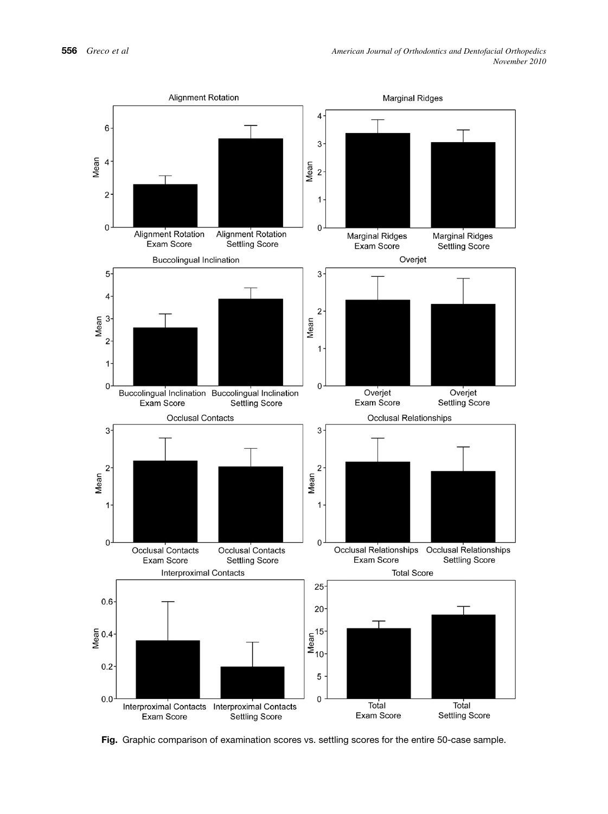<span id="page-4-0"></span>

Fig. Graphic comparison of examination scores vs. settling scores for the entire 50-case sample.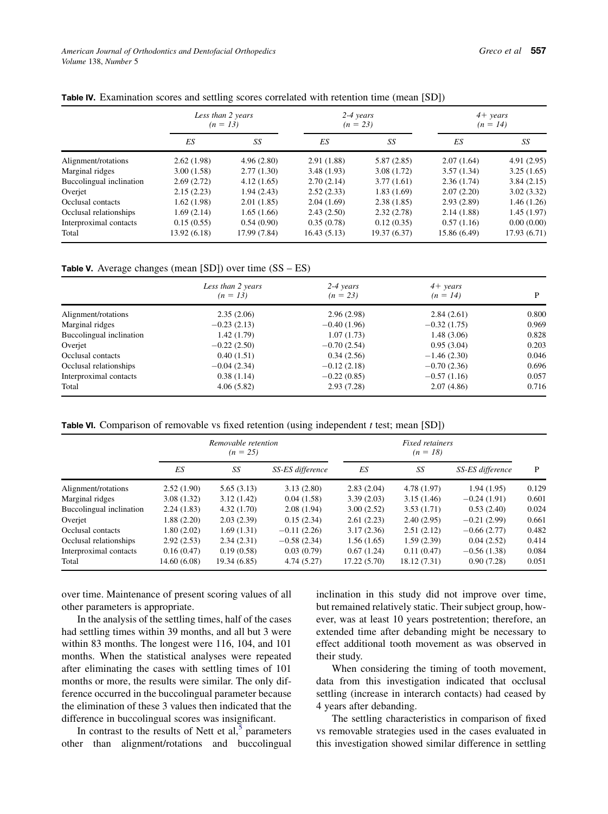<span id="page-5-0"></span>

| Table IV. Examination scores and settling scores correlated with retention time (mean [SD]) |  |  |  |  |  |
|---------------------------------------------------------------------------------------------|--|--|--|--|--|
|---------------------------------------------------------------------------------------------|--|--|--|--|--|

|                          | Less than 2 years<br>$(n = 13)$ |              |             | $2-4 \text{ years}$<br>$(n = 23)$ | $4+ \text{ years}$<br>$(n = 14)$ |             |  |
|--------------------------|---------------------------------|--------------|-------------|-----------------------------------|----------------------------------|-------------|--|
|                          | ES                              | SS           | ES          | SS                                | ES                               | SS          |  |
| Alignment/rotations      | 2.62(1.98)                      | 4.96(2.80)   | 2.91(1.88)  | 5.87(2.85)                        | 2.07(1.64)                       | 4.91(2.95)  |  |
| Marginal ridges          | 3.00(1.58)                      | 2.77(1.30)   | 3.48(1.93)  | 3.08(1.72)                        | 3.57(1.34)                       | 3.25(1.65)  |  |
| Buccolingual inclination | 2.69(2.72)                      | 4.12(1.65)   | 2.70(2.14)  | 3.77(1.61)                        | 2.36(1.74)                       | 3.84(2.15)  |  |
| Overjet                  | 2.15(2.23)                      | 1.94(2.43)   | 2.52(2.33)  | 1.83(1.69)                        | 2.07(2.20)                       | 3.02(3.32)  |  |
| Occlusal contacts        | 1.62(1.98)                      | 2.01(1.85)   | 2.04(1.69)  | 2.38(1.85)                        | 2.93(2.89)                       | 1.46(1.26)  |  |
| Occlusal relationships   | 1.69(2.14)                      | 1.65(1.66)   | 2.43(2.50)  | 2.32(2.78)                        | 2.14(1.88)                       | 1.45(1.97)  |  |
| Interproximal contacts   | 0.15(0.55)                      | 0.54(0.90)   | 0.35(0.78)  | 0.12(0.35)                        | 0.57(1.16)                       | 0.00(0.00)  |  |
| Total                    | 13.92 (6.18)                    | 17.99 (7.84) | 16.43(5.13) | 19.37 (6.37)                      | 15.86 (6.49)                     | 17.93(6.71) |  |

**Table V.** Average changes (mean  $[SD]$ ) over time  $(SS - ES)$ 

|                          | Less than 2 years<br>$(n = 13)$ | $2-4$ years<br>$(n = 23)$ | $4+ \text{ years}$<br>$(n = 14)$ | D     |
|--------------------------|---------------------------------|---------------------------|----------------------------------|-------|
|                          |                                 |                           |                                  |       |
| Alignment/rotations      | 2.35(2.06)                      | 2.96(2.98)                | 2.84(2.61)                       | 0.800 |
| Marginal ridges          | $-0.23(2.13)$                   | $-0.40(1.96)$             | $-0.32(1.75)$                    | 0.969 |
| Buccolingual inclination | 1.42 (1.79)                     | 1.07(1.73)                | 1.48(3.06)                       | 0.828 |
| Overjet                  | $-0.22(2.50)$                   | $-0.70(2.54)$             | 0.95(3.04)                       | 0.203 |
| Occlusal contacts        | 0.40(1.51)                      | 0.34(2.56)                | $-1.46(2.30)$                    | 0.046 |
| Occlusal relationships   | $-0.04(2.34)$                   | $-0.12(2.18)$             | $-0.70(2.36)$                    | 0.696 |
| Interproximal contacts   | 0.38(1.14)                      | $-0.22(0.85)$             | $-0.57(1.16)$                    | 0.057 |
| Total                    | 4.06(5.82)                      | 2.93(7.28)                | 2.07(4.86)                       | 0.716 |

|  |  | Table VI. Comparison of removable vs fixed retention (using independent t test; mean [SD]) |  |  |  |  |  |  |
|--|--|--------------------------------------------------------------------------------------------|--|--|--|--|--|--|
|--|--|--------------------------------------------------------------------------------------------|--|--|--|--|--|--|

|                          | Removable retention<br>$(n = 25)$ |              |                  | <b>Fixed retainers</b><br>$(n = 18)$ |             |                  |       |
|--------------------------|-----------------------------------|--------------|------------------|--------------------------------------|-------------|------------------|-------|
|                          | ES                                | SS           | SS-ES difference | ES                                   | SS          | SS-ES difference | P     |
| Alignment/rotations      | 2.52(1.90)                        | 5.65(3.13)   | 3.13(2.80)       | 2.83(2.04)                           | 4.78 (1.97) | 1.94(1.95)       | 0.129 |
| Marginal ridges          | 3.08(1.32)                        | 3.12(1.42)   | 0.04(1.58)       | 3.39(2.03)                           | 3.15(1.46)  | $-0.24(1.91)$    | 0.601 |
| Buccolingual inclination | 2.24(1.83)                        | 4.32(1.70)   | 2.08(1.94)       | 3.00(2.52)                           | 3.53(1.71)  | 0.53(2.40)       | 0.024 |
| Overjet                  | 1.88(2.20)                        | 2.03(2.39)   | 0.15(2.34)       | 2.61(2.23)                           | 2.40(2.95)  | $-0.21(2.99)$    | 0.661 |
| Occlusal contacts        | 1.80(2.02)                        | 1.69(1.31)   | $-0.11(2.26)$    | 3.17(2.36)                           | 2.51(2.12)  | $-0.66(2.77)$    | 0.482 |
| Occlusal relationships   | 2.92(2.53)                        | 2.34(2.31)   | $-0.58(2.34)$    | 1.56(1.65)                           | 1.59(2.39)  | 0.04(2.52)       | 0.414 |
| Interproximal contacts   | 0.16(0.47)                        | 0.19(0.58)   | 0.03(0.79)       | 0.67(1.24)                           | 0.11(0.47)  | $-0.56(1.38)$    | 0.084 |
| Total                    | 14.60 (6.08)                      | 19.34 (6.85) | 4.74(5.27)       | 17.22(5.70)                          | 18.12(7.31) | 0.90(7.28)       | 0.051 |

over time. Maintenance of present scoring values of all other parameters is appropriate.

In the analysis of the settling times, half of the cases had settling times within 39 months, and all but 3 were within 83 months. The longest were 116, 104, and 101 months. When the statistical analyses were repeated after eliminating the cases with settling times of 101 months or more, the results were similar. The only difference occurred in the buccolingual parameter because the elimination of these 3 values then indicated that the difference in buccolingual scores was insignificant.

In contrast to the results of Nett et al,<sup>[5](#page-6-0)</sup> parameters other than alignment/rotations and buccolingual inclination in this study did not improve over time, but remained relatively static. Their subject group, however, was at least 10 years postretention; therefore, an extended time after debanding might be necessary to effect additional tooth movement as was observed in their study.

When considering the timing of tooth movement, data from this investigation indicated that occlusal settling (increase in interarch contacts) had ceased by 4 years after debanding.

The settling characteristics in comparison of fixed vs removable strategies used in the cases evaluated in this investigation showed similar difference in settling